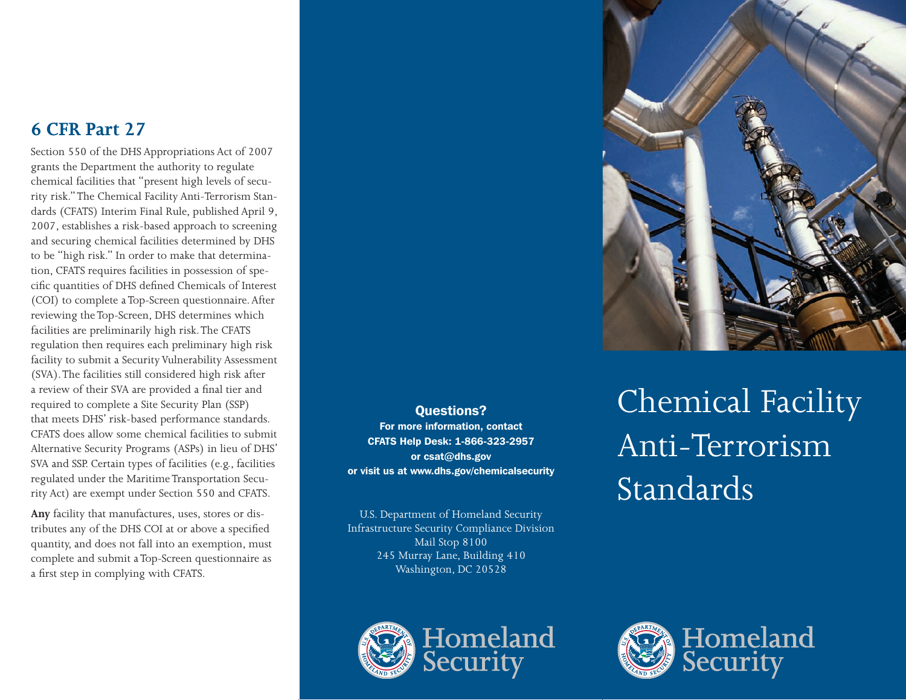# **6 CFR Part 27**

Section 550 of the DHS Appropriations Act of 2007 grants the Department the authority to regulate chemical facilities that "present high levels of security risk." The Chemical Facility Anti-Terrorism Standards (CFATS) Interim Final Rule, published April 9, 2007, establishes a risk-based approach to screening and securing chemical facilities determined by DHS to be "high risk." In order to make that determination, CFATS requires facilities in possession of specific quantities of DHS defined Chemicals of Interest (COI) to complete a Top-Screen questionnaire. After reviewing the Top-Screen, DHS determines which facilities are preliminarily high risk. The CFATS regulation then requires each preliminary high risk facility to submit a Security Vulnerability Assessment (SVA). The facilities still considered high risk after a review of their SVA are provided a final tier and required to complete a Site Security Plan (SSP) that meets DHS' risk-based performance standards. CFATS does allow some chemical facilities to submit Alternative Security Programs (ASPs) in lieu of DHS' SVA and SSP. Certain types of facilities (e.g., facilities regulated under the Maritime Transportation Security Act) are exempt under Section 550 and CFATS.

**Any** facility that manufactures, uses, stores or distributes any of the DHS COI at or above a specified quantity, and does not fall into an exemption, must complete and submit a Top-Screen questionnaire as a first step in complying with CFATS.



U.S. Department of Homeland Security Infrastructure Security Compliance Division Mail Stop 8100 245 Murray Lane, Building 410 Washington, DC 20528



Homeland Security



Chemical Facility Anti-Terrorism Standards